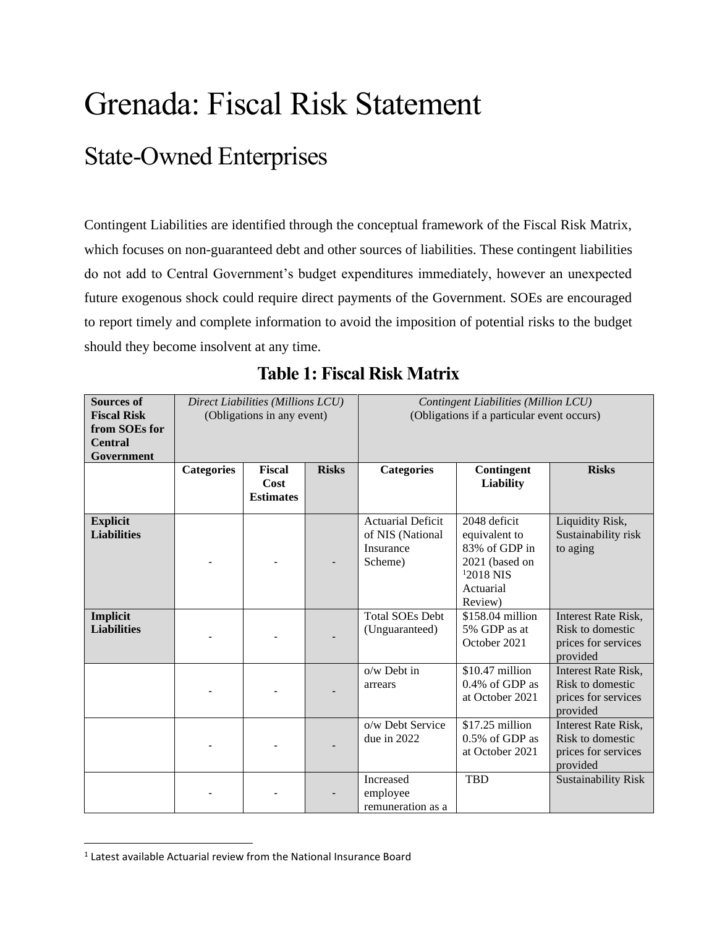# Grenada: Fiscal Risk Statement State-Owned Enterprises

Contingent Liabilities are identified through the conceptual framework of the Fiscal Risk Matrix, which focuses on non-guaranteed debt and other sources of liabilities. These contingent liabilities do not add to Central Government's budget expenditures immediately, however an unexpected future exogenous shock could require direct payments of the Government. SOEs are encouraged to report timely and complete information to avoid the imposition of potential risks to the budget should they become insolvent at any time.

| <b>Sources of</b><br><b>Fiscal Risk</b><br>from SOEs for<br><b>Central</b><br>Government |                   | Direct Liabilities (Millions LCU)<br>(Obligations in any event) |              | Contingent Liabilities (Million LCU)<br>(Obligations if a particular event occurs) |                                                                                                         |                                                                                   |  |
|------------------------------------------------------------------------------------------|-------------------|-----------------------------------------------------------------|--------------|------------------------------------------------------------------------------------|---------------------------------------------------------------------------------------------------------|-----------------------------------------------------------------------------------|--|
|                                                                                          | <b>Categories</b> | <b>Fiscal</b><br>Cost<br><b>Estimates</b>                       | <b>Risks</b> | <b>Categories</b>                                                                  | Contingent<br>Liability                                                                                 | <b>Risks</b>                                                                      |  |
| <b>Explicit</b><br><b>Liabilities</b>                                                    |                   |                                                                 |              | <b>Actuarial Deficit</b><br>of NIS (National<br>Insurance<br>Scheme)               | 2048 deficit<br>equivalent to<br>83% of GDP in<br>2021 (based on<br>$12018$ NIS<br>Actuarial<br>Review) | Liquidity Risk,<br>Sustainability risk<br>to aging                                |  |
| Implicit<br><b>Liabilities</b>                                                           |                   |                                                                 |              | <b>Total SOEs Debt</b><br>(Unguaranteed)                                           | \$158.04 million<br>5% GDP as at<br>October 2021                                                        | <b>Interest Rate Risk,</b><br>Risk to domestic<br>prices for services<br>provided |  |
|                                                                                          |                   |                                                                 |              | o/w Debt in<br>arrears                                                             | $$10.47$ million<br>0.4% of GDP as<br>at October 2021                                                   | <b>Interest Rate Risk,</b><br>Risk to domestic<br>prices for services<br>provided |  |
|                                                                                          |                   |                                                                 |              | o/w Debt Service<br>due in 2022                                                    | \$17.25 million<br>0.5% of GDP as<br>at October 2021                                                    | <b>Interest Rate Risk,</b><br>Risk to domestic<br>prices for services<br>provided |  |
|                                                                                          |                   |                                                                 |              | Increased<br>employee<br>remuneration as a                                         | <b>TBD</b>                                                                                              | <b>Sustainability Risk</b>                                                        |  |

**Table 1: Fiscal Risk Matrix**

 $<sup>1</sup>$  Latest available Actuarial review from the National Insurance Board</sup>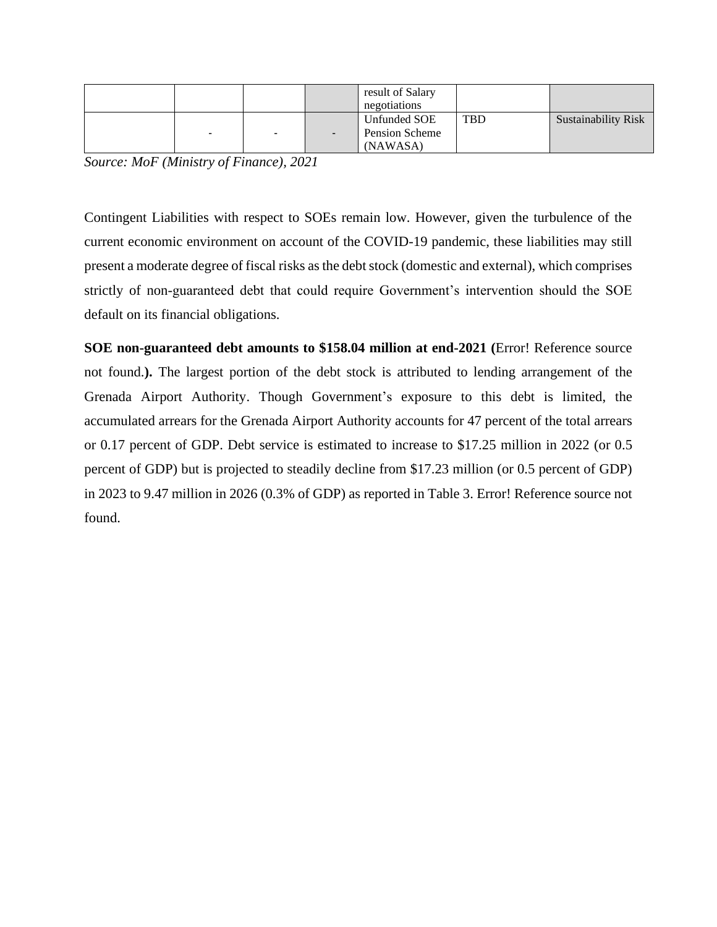|                          |   | result of Salary<br>negotiations           |            |                            |
|--------------------------|---|--------------------------------------------|------------|----------------------------|
| $\overline{\phantom{0}}$ | - | Unfunded SOE<br>Pension Scheme<br>(NAWASA) | <b>TBD</b> | <b>Sustainability Risk</b> |

*Source: MoF (Ministry of Finance), 2021*

Contingent Liabilities with respect to SOEs remain low. However, given the turbulence of the current economic environment on account of the COVID-19 pandemic, these liabilities may still present a moderate degree of fiscal risks as the debt stock (domestic and external), which comprises strictly of non-guaranteed debt that could require Government's intervention should the SOE default on its financial obligations.

**SOE non-guaranteed debt amounts to \$158.04 million at end-2021 (**Error! Reference source not found.**).** The largest portion of the debt stock is attributed to lending arrangement of the Grenada Airport Authority. Though Government's exposure to this debt is limited, the accumulated arrears for the Grenada Airport Authority accounts for 47 percent of the total arrears or 0.17 percent of GDP. Debt service is estimated to increase to \$17.25 million in 2022 (or 0.5 percent of GDP) but is projected to steadily decline from \$17.23 million (or 0.5 percent of GDP) in 2023 to 9.47 million in 2026 (0.3% of GDP) as reported in Table 3. Error! Reference source not found.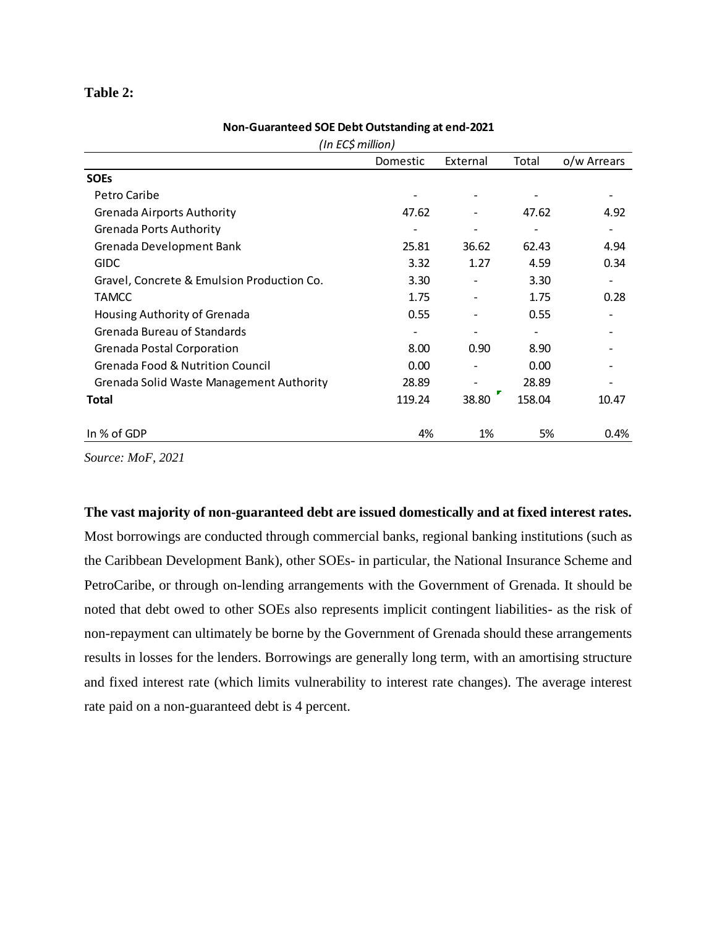## **Table 2:**

| (In EC\$ million)                           |          |          |        |             |  |  |  |
|---------------------------------------------|----------|----------|--------|-------------|--|--|--|
|                                             | Domestic | External | Total  | o/w Arrears |  |  |  |
| <b>SOEs</b>                                 |          |          |        |             |  |  |  |
| Petro Caribe                                |          |          |        |             |  |  |  |
| <b>Grenada Airports Authority</b>           | 47.62    | -        | 47.62  | 4.92        |  |  |  |
| <b>Grenada Ports Authority</b>              |          |          |        |             |  |  |  |
| Grenada Development Bank                    | 25.81    | 36.62    | 62.43  | 4.94        |  |  |  |
| <b>GIDC</b>                                 | 3.32     | 1.27     | 4.59   | 0.34        |  |  |  |
| Gravel, Concrete & Emulsion Production Co.  | 3.30     |          | 3.30   |             |  |  |  |
| <b>TAMCC</b>                                | 1.75     |          | 1.75   | 0.28        |  |  |  |
| Housing Authority of Grenada                | 0.55     |          | 0.55   |             |  |  |  |
| Grenada Bureau of Standards                 |          |          |        |             |  |  |  |
| Grenada Postal Corporation                  | 8.00     | 0.90     | 8.90   |             |  |  |  |
| <b>Grenada Food &amp; Nutrition Council</b> | 0.00     |          | 0.00   |             |  |  |  |
| Grenada Solid Waste Management Authority    | 28.89    |          | 28.89  |             |  |  |  |
| <b>Total</b>                                | 119.24   | 38.80    | 158.04 | 10.47       |  |  |  |
| In % of GDP                                 | 4%       | 1%       | 5%     | 0.4%        |  |  |  |

#### **Non-Guaranteed SOE Debt Outstanding at end-2021**

*Source: MoF, 2021*

# **The vast majority of non-guaranteed debt are issued domestically and at fixed interest rates.**

Most borrowings are conducted through commercial banks, regional banking institutions (such as the Caribbean Development Bank), other SOEs- in particular, the National Insurance Scheme and PetroCaribe, or through on-lending arrangements with the Government of Grenada. It should be noted that debt owed to other SOEs also represents implicit contingent liabilities- as the risk of non-repayment can ultimately be borne by the Government of Grenada should these arrangements results in losses for the lenders. Borrowings are generally long term, with an amortising structure and fixed interest rate (which limits vulnerability to interest rate changes). The average interest rate paid on a non-guaranteed debt is 4 percent.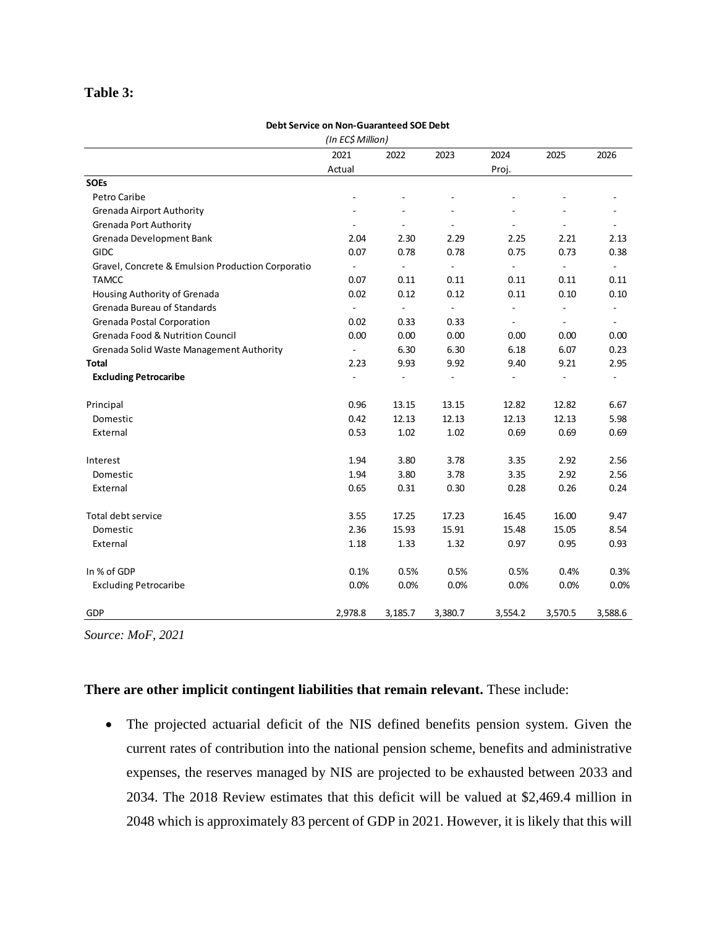## **Table 3:**

## **Debt Service on Non-Guaranteed SOE Debt**

|                                                   | (In EC\$ Million) |                |                              |                |                              |                          |
|---------------------------------------------------|-------------------|----------------|------------------------------|----------------|------------------------------|--------------------------|
|                                                   | 2021              | 2022           | 2023                         | 2024           | 2025                         | 2026                     |
|                                                   | Actual            |                |                              | Proj.          |                              |                          |
| <b>SOEs</b>                                       |                   |                |                              |                |                              |                          |
| Petro Caribe                                      |                   |                |                              |                |                              |                          |
| <b>Grenada Airport Authority</b>                  |                   |                |                              |                |                              |                          |
| <b>Grenada Port Authority</b>                     |                   |                |                              |                |                              |                          |
| Grenada Development Bank                          | 2.04              | 2.30           | 2.29                         | 2.25           | 2.21                         | 2.13                     |
| <b>GIDC</b>                                       | 0.07              | 0.78           | 0.78                         | 0.75           | 0.73                         | 0.38                     |
| Gravel, Concrete & Emulsion Production Corporatio |                   | ÷,             | ÷,                           | ÷,             | $\overline{\phantom{a}}$     | $\overline{\phantom{0}}$ |
| <b>TAMCC</b>                                      | 0.07              | 0.11           | 0.11                         | 0.11           | 0.11                         | 0.11                     |
| Housing Authority of Grenada                      | 0.02              | 0.12           | 0.12                         | 0.11           | 0.10                         | 0.10                     |
| Grenada Bureau of Standards                       | $\blacksquare$    | $\blacksquare$ | $\blacksquare$               | $\overline{a}$ | $\qquad \qquad \blacksquare$ | 4                        |
| Grenada Postal Corporation                        | 0.02              | 0.33           | 0.33                         | $\blacksquare$ | $\blacksquare$               | ۰                        |
| <b>Grenada Food &amp; Nutrition Council</b>       | 0.00              | 0.00           | 0.00                         | 0.00           | 0.00                         | 0.00                     |
| Grenada Solid Waste Management Authority          | $\Box$            | 6.30           | 6.30                         | 6.18           | 6.07                         | 0.23                     |
| <b>Total</b>                                      | 2.23              | 9.93           | 9.92                         | 9.40           | 9.21                         | 2.95                     |
| <b>Excluding Petrocaribe</b>                      |                   |                | $\qquad \qquad \blacksquare$ |                |                              |                          |
| Principal                                         | 0.96              | 13.15          | 13.15                        | 12.82          | 12.82                        | 6.67                     |
| Domestic                                          | 0.42              | 12.13          | 12.13                        | 12.13          | 12.13                        | 5.98                     |
| External                                          | 0.53              | 1.02           | 1.02                         | 0.69           | 0.69                         | 0.69                     |
| Interest                                          | 1.94              | 3.80           | 3.78                         | 3.35           | 2.92                         | 2.56                     |
| Domestic                                          | 1.94              | 3.80           | 3.78                         | 3.35           | 2.92                         | 2.56                     |
| External                                          | 0.65              | 0.31           | 0.30                         | 0.28           | 0.26                         | 0.24                     |
| Total debt service                                | 3.55              | 17.25          | 17.23                        | 16.45          | 16.00                        | 9.47                     |
| Domestic                                          | 2.36              | 15.93          | 15.91                        | 15.48          | 15.05                        | 8.54                     |
| External                                          | 1.18              | 1.33           | 1.32                         | 0.97           | 0.95                         | 0.93                     |
| In % of GDP                                       | 0.1%              | 0.5%           | 0.5%                         | 0.5%           | 0.4%                         | 0.3%                     |
| <b>Excluding Petrocaribe</b>                      | 0.0%              | 0.0%           | 0.0%                         | 0.0%           | 0.0%                         | 0.0%                     |
| GDP                                               | 2,978.8           | 3,185.7        | 3,380.7                      | 3,554.2        | 3,570.5                      | 3,588.6                  |

*Source: MoF, 2021*

# **There are other implicit contingent liabilities that remain relevant.** These include:

• The projected actuarial deficit of the NIS defined benefits pension system. Given the current rates of contribution into the national pension scheme, benefits and administrative expenses, the reserves managed by NIS are projected to be exhausted between 2033 and 2034. The 2018 Review estimates that this deficit will be valued at \$2,469.4 million in 2048 which is approximately 83 percent of GDP in 2021. However, it is likely that this will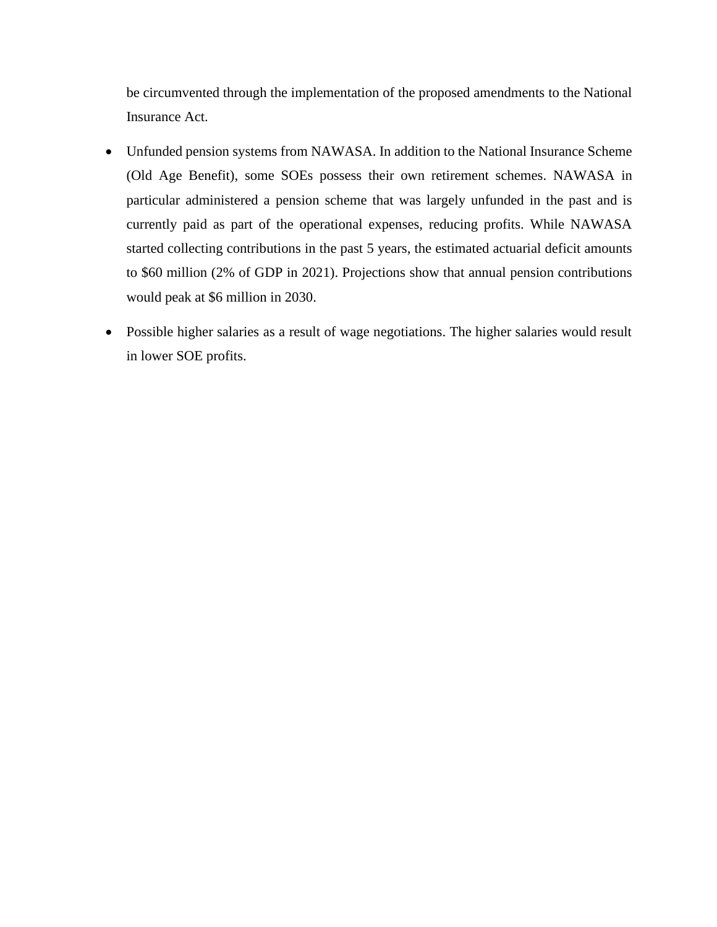be circumvented through the implementation of the proposed amendments to the National Insurance Act.

- Unfunded pension systems from NAWASA. In addition to the National Insurance Scheme (Old Age Benefit), some SOEs possess their own retirement schemes. NAWASA in particular administered a pension scheme that was largely unfunded in the past and is currently paid as part of the operational expenses, reducing profits. While NAWASA started collecting contributions in the past 5 years, the estimated actuarial deficit amounts to \$60 million (2% of GDP in 2021). Projections show that annual pension contributions would peak at \$6 million in 2030.
- Possible higher salaries as a result of wage negotiations. The higher salaries would result in lower SOE profits.